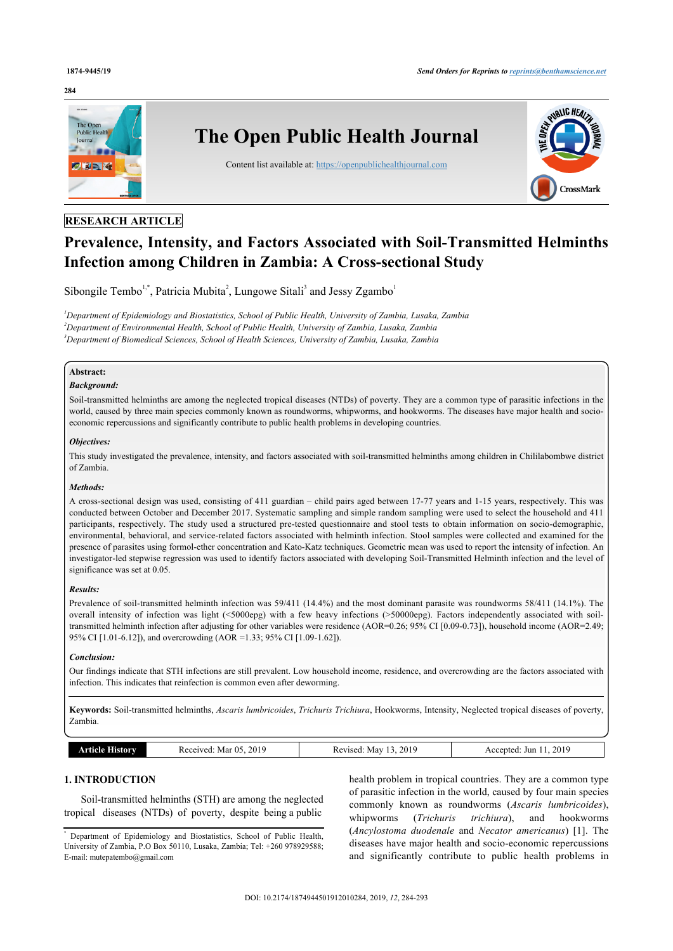#### **284**



### **RESEARCH ARTICLE**

# **Prevalence, Intensity, and Factors Associated with Soil-Transmitted Helminths Infection among Children in Zambia: A Cross-sectional Study**

Sibongile Tembo<sup>[1,](#page-0-0)[\\*](#page-0-1)</sup>, Patricia Mubita<sup>[2](#page-0-2)</sup>, Lungowe Sitali<sup>[3](#page-0-3)</sup> and Jessy Zgambo<sup>[1](#page-0-0)</sup>

<span id="page-0-3"></span><span id="page-0-2"></span><span id="page-0-0"></span>*<sup>1</sup>Department of Epidemiology and Biostatistics, School of Public Health, University of Zambia, Lusaka, Zambia <sup>2</sup>Department of Environmental Health, School of Public Health, University of Zambia, Lusaka, Zambia <sup>3</sup>Department of Biomedical Sciences, School of Health Sciences, University of Zambia, Lusaka, Zambia*

### **Abstract:**

#### *Background:*

Soil-transmitted helminths are among the neglected tropical diseases (NTDs) of poverty. They are a common type of parasitic infections in the world, caused by three main species commonly known as roundworms, whipworms, and hookworms. The diseases have major health and socioeconomic repercussions and significantly contribute to public health problems in developing countries.

#### *Objectives:*

This study investigated the prevalence, intensity, and factors associated with soil-transmitted helminths among children in Chililabombwe district of Zambia.

#### *Methods:*

A cross-sectional design was used, consisting of 411 guardian – child pairs aged between 17-77 years and 1-15 years, respectively. This was conducted between October and December 2017. Systematic sampling and simple random sampling were used to select the household and 411 participants, respectively. The study used a structured pre-tested questionnaire and stool tests to obtain information on socio-demographic, environmental, behavioral, and service-related factors associated with helminth infection. Stool samples were collected and examined for the presence of parasites using formol-ether concentration and Kato-Katz techniques. Geometric mean was used to report the intensity of infection. An investigator-led stepwise regression was used to identify factors associated with developing Soil-Transmitted Helminth infection and the level of significance was set at 0.05.

#### *Results:*

Prevalence of soil-transmitted helminth infection was 59/411 (14.4%) and the most dominant parasite was roundworms 58/411 (14.1%). The overall intensity of infection was light (<5000epg) with a few heavy infections (>50000epg). Factors independently associated with soiltransmitted helminth infection after adjusting for other variables were residence (AOR=0.26; 95% CI [0.09-0.73]), household income (AOR=2.49; 95% CI [1.01-6.12]), and overcrowding (AOR =1.33; 95% CI [1.09-1.62]).

#### *Conclusion:*

Our findings indicate that STH infections are still prevalent. Low household income, residence, and overcrowding are the factors associated with infection. This indicates that reinfection is common even after deworming.

**Keywords:** Soil-transmitted helminths, *Ascaris lumbricoides*, *Trichuris Trichiura*, Hookworms, Intensity, Neglected tropical diseases of poverty, Zambia.

|  | 201c<br>$\sim$<br>291<br>Mar<br>$\cdot$<br>.<br>. | 2019<br>- May<br>Revised<br>n.c<br>.<br>__ | 2019<br>:cented<br>Jur<br>∼ |
|--|---------------------------------------------------|--------------------------------------------|-----------------------------|
|--|---------------------------------------------------|--------------------------------------------|-----------------------------|

### **1. INTRODUCTION**

Soil-transmitted helminths (STH) are among the neglected tropical diseases (NTDs) of poverty, despite being a public

health problem in tropical countries. They are a common type of parasitic infection in the world, caused by four main species commonly known as roundworms (*Ascaris lumbricoides*), whipworms (*Trichuris trichiura*), and hookworms (*Ancylostoma duodenale* and *Necator americanus*) [\[1\]](#page-8-0). The diseases have major health and socio-economic repercussions and significantly contribute to public health problems in

<span id="page-0-1"></span>Department of Epidemiology and Biostatistics, School of Public Health, University of Zambia, P.O Box 50110, Lusaka, Zambia; Tel: +260 978929588; E-mail: [mutepatembo@gmail.com](mailto:mutepatembo@gmail.com)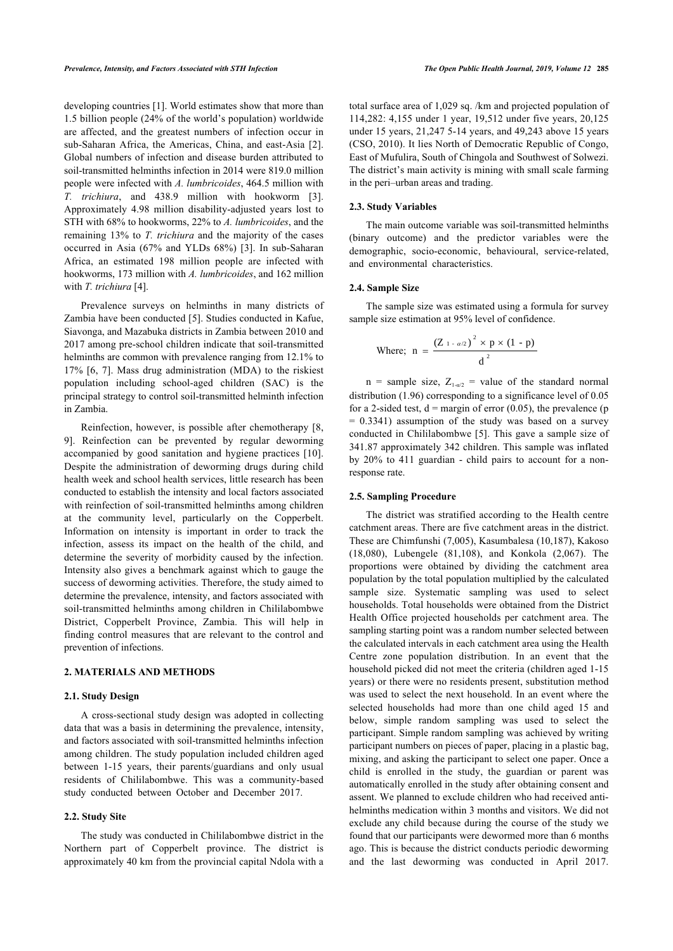developing countries [\[1\]](#page-8-0). World estimates show that more than 1.5 billion people (24% of the world's population) worldwide are affected, and the greatest numbers of infection occur in sub-Saharan Africa, the Americas, China, and east-Asia [\[2\]](#page-8-1). Global numbers of infection and disease burden attributed to soil-transmitted helminths infection in 2014 were 819.0 million people were infected with *A. lumbricoides*, 464.5 million with *T. trichiura*, and 438.9 million with hookworm [\[3\]](#page-8-2). Approximately 4.98 million disability-adjusted years lost to STH with 68% to hookworms, 22% to *A. lumbricoides*, and the remaining 13% to *T. trichiura* and the majority of the cases occurred in Asia (67% and YLDs 68%)[[3\]](#page-8-2). In sub-Saharan Africa, an estimated 198 million people are infected with hookworms, 173 million with *A. lumbricoides*, and 162 million with *T. trichiura* [[4](#page-8-3)].

Prevalence surveys on helminths in many districts of Zambia have been conducted [[5](#page-8-4)]. Studies conducted in Kafue, Siavonga, and Mazabuka districts in Zambia between 2010 and 2017 among pre-school children indicate that soil-transmitted helminths are common with prevalence ranging from 12.1% to 17% [[6,](#page-8-5) [7\]](#page-8-6). Mass drug administration (MDA) to the riskiest population including school-aged children (SAC) is the principal strategy to control soil-transmitted helminth infection in Zambia.

Reinfection, however, is possible after chemotherapy [\[8](#page-8-7), [9](#page-8-8)]. Reinfection can be prevented by regular deworming accompanied by good sanitation and hygiene practices[[10\]](#page-8-9). Despite the administration of deworming drugs during child health week and school health services, little research has been conducted to establish the intensity and local factors associated with reinfection of soil-transmitted helminths among children at the community level, particularly on the Copperbelt. Information on intensity is important in order to track the infection, assess its impact on the health of the child, and determine the severity of morbidity caused by the infection. Intensity also gives a benchmark against which to gauge the success of deworming activities. Therefore, the study aimed to determine the prevalence, intensity, and factors associated with soil-transmitted helminths among children in Chililabombwe District, Copperbelt Province, Zambia. This will help in finding control measures that are relevant to the control and prevention of infections.

### **2. MATERIALS AND METHODS**

#### **2.1. Study Design**

A cross-sectional study design was adopted in collecting data that was a basis in determining the prevalence, intensity, and factors associated with soil-transmitted helminths infection among children. The study population included children aged between 1-15 years, their parents/guardians and only usual residents of Chililabombwe. This was a community-based study conducted between October and December 2017.

#### **2.2. Study Site**

The study was conducted in Chililabombwe district in the Northern part of Copperbelt province. The district is approximately 40 km from the provincial capital Ndola with a total surface area of 1,029 sq. /km and projected population of 114,282: 4,155 under 1 year, 19,512 under five years, 20,125 under 15 years, 21,247 5-14 years, and 49,243 above 15 years (CSO, 2010). It lies North of Democratic Republic of Congo, East of Mufulira, South of Chingola and Southwest of Solwezi. The district's main activity is mining with small scale farming in the peri–urban areas and trading.

#### **2.3. Study Variables**

The main outcome variable was soil-transmitted helminths (binary outcome) and the predictor variables were the demographic, socio-economic, behavioural, service-related, and environmental characteristics.

#### **2.4. Sample Size**

The sample size was estimated using a formula for survey sample size estimation at 95% level of confidence.

Where; n = 
$$
\frac{(Z_{1 - a/2})^2 \times p \times (1 - p)}{d^2}
$$

n = sample size,  $Z_{1-a/2}$  = value of the standard normal distribution (1.96) corresponding to a significance level of 0.05 for a 2-sided test,  $d =$  margin of error (0.05), the prevalence (p  $= 0.3341$ ) assumption of the study was based on a survey conducted in Chililabombwe [[5](#page-8-4)]. This gave a sample size of 341.87 approximately 342 children. This sample was inflated by 20% to 411 guardian - child pairs to account for a nonresponse rate.

#### **2.5. Sampling Procedure**

The district was stratified according to the Health centre catchment areas. There are five catchment areas in the district. These are Chimfunshi (7,005), Kasumbalesa (10,187), Kakoso (18,080), Lubengele (81,108), and Konkola (2,067). The proportions were obtained by dividing the catchment area population by the total population multiplied by the calculated sample size. Systematic sampling was used to select households. Total households were obtained from the District Health Office projected households per catchment area. The sampling starting point was a random number selected between the calculated intervals in each catchment area using the Health Centre zone population distribution. In an event that the household picked did not meet the criteria (children aged 1-15 years) or there were no residents present, substitution method was used to select the next household. In an event where the selected households had more than one child aged 15 and below, simple random sampling was used to select the participant. Simple random sampling was achieved by writing participant numbers on pieces of paper, placing in a plastic bag, mixing, and asking the participant to select one paper. Once a child is enrolled in the study, the guardian or parent was automatically enrolled in the study after obtaining consent and assent. We planned to exclude children who had received antihelminths medication within 3 months and visitors. We did not exclude any child because during the course of the study we found that our participants were dewormed more than 6 months ago. This is because the district conducts periodic deworming and the last deworming was conducted in April 2017.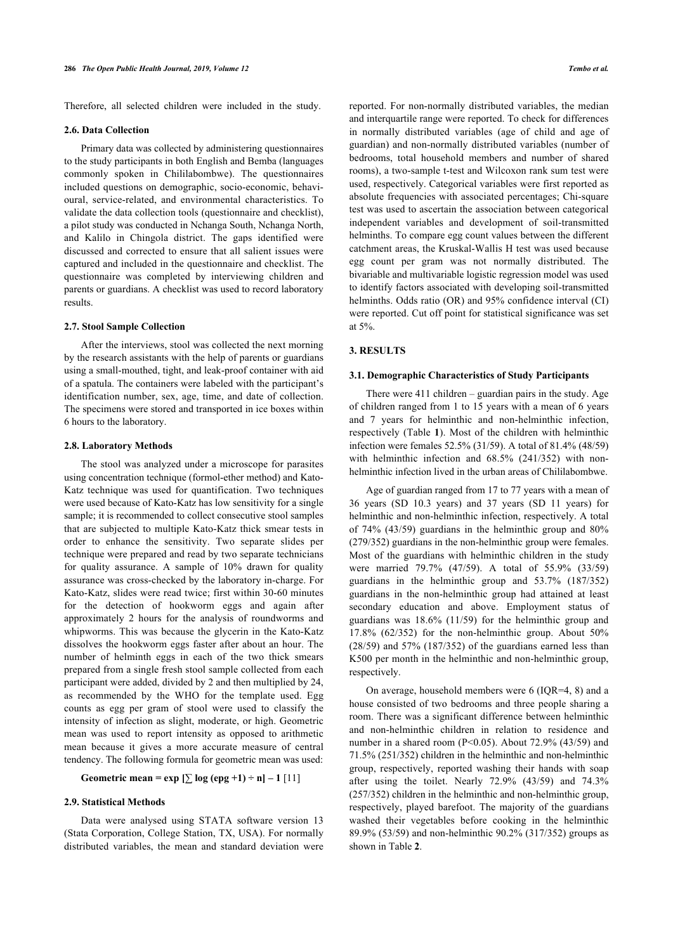Therefore, all selected children were included in the study.

#### **2.6. Data Collection**

Primary data was collected by administering questionnaires to the study participants in both English and Bemba (languages commonly spoken in Chililabombwe). The questionnaires included questions on demographic, socio-economic, behavioural, service-related, and environmental characteristics. To validate the data collection tools (questionnaire and checklist), a pilot study was conducted in Nchanga South, Nchanga North, and Kalilo in Chingola district. The gaps identified were discussed and corrected to ensure that all salient issues were captured and included in the questionnaire and checklist. The questionnaire was completed by interviewing children and parents or guardians. A checklist was used to record laboratory results.

#### **2.7. Stool Sample Collection**

After the interviews, stool was collected the next morning by the research assistants with the help of parents or guardians using a small-mouthed, tight, and leak-proof container with aid of a spatula. The containers were labeled with the participant's identification number, sex, age, time, and date of collection. The specimens were stored and transported in ice boxes within 6 hours to the laboratory.

#### **2.8. Laboratory Methods**

The stool was analyzed under a microscope for parasites using concentration technique (formol-ether method) and Kato-Katz technique was used for quantification. Two techniques were used because of Kato-Katz has low sensitivity for a single sample; it is recommended to collect consecutive stool samples that are subjected to multiple Kato-Katz thick smear tests in order to enhance the sensitivity. Two separate slides per technique were prepared and read by two separate technicians for quality assurance. A sample of 10% drawn for quality assurance was cross-checked by the laboratory in-charge. For Kato-Katz, slides were read twice; first within 30-60 minutes for the detection of hookworm eggs and again after approximately 2 hours for the analysis of roundworms and whipworms. This was because the glycerin in the Kato-Katz dissolves the hookworm eggs faster after about an hour. The number of helminth eggs in each of the two thick smears prepared from a single fresh stool sample collected from each participant were added, divided by 2 and then multiplied by 24, as recommended by the WHO for the template used. Egg counts as egg per gram of stool were used to classify the intensity of infection as slight, moderate, or high. Geometric mean was used to report intensity as opposed to arithmetic mean because it gives a more accurate measure of central tendency. The following formula for geometric mean was used:

## **Geometric mean = exp**  $[\sum \log (eng +1) \div n] - 1$  [[11\]](#page-8-10)

#### **2.9. Statistical Methods**

<span id="page-2-0"></span>Data were analysed using STATA software version 13 (Stata Corporation, College Station, TX, USA). For normally distributed variables, the mean and standard deviation were reported. For non-normally distributed variables, the median and interquartile range were reported. To check for differences in normally distributed variables (age of child and age of guardian) and non-normally distributed variables (number of bedrooms, total household members and number of shared rooms), a two-sample t-test and Wilcoxon rank sum test were used, respectively. Categorical variables were first reported as absolute frequencies with associated percentages; Chi-square test was used to ascertain the association between categorical independent variables and development of soil-transmitted helminths. To compare egg count values between the different catchment areas, the Kruskal-Wallis H test was used because egg count per gram was not normally distributed. The bivariable and multivariable logistic regression model was used to identify factors associated with developing soil-transmitted helminths. Odds ratio (OR) and 95% confidence interval (CI) were reported. Cut off point for statistical significance was set at 5%.

#### **3. RESULTS**

#### **3.1. Demographic Characteristics of Study Participants**

There were 411 children – guardian pairs in the study. Age of children ranged from 1 to 15 years with a mean of 6 years and 7 years for helminthic and non-helminthic infection, respectively (Table **[1](#page-2-0)**). Most of the children with helminthic infection were females 52.5% (31/59). A total of 81.4% (48/59) with helminthic infection and 68.5% (241/352) with nonhelminthic infection lived in the urban areas of Chililabombwe.

Age of guardian ranged from 17 to 77 years with a mean of 36 years (SD 10.3 years) and 37 years (SD 11 years) for helminthic and non-helminthic infection, respectively. A total of 74% (43/59) guardians in the helminthic group and 80% (279/352) guardians in the non-helminthic group were females. Most of the guardians with helminthic children in the study were married 79.7% (47/59). A total of 55.9% (33/59) guardians in the helminthic group and 53.7% (187/352) guardians in the non-helminthic group had attained at least secondary education and above. Employment status of guardians was 18.6% (11/59) for the helminthic group and 17.8% (62/352) for the non-helminthic group. About 50% (28/59) and 57% (187/352) of the guardians earned less than K500 per month in the helminthic and non-helminthic group, respectively.

On average, household members were 6 (IQR=4, 8) and a house consisted of two bedrooms and three people sharing a room. There was a significant difference between helminthic and non-helminthic children in relation to residence and number in a shared room ( $P \le 0.05$ ). About 72.9% (43/59) and 71.5% (251/352) children in the helminthic and non-helminthic group, respectively, reported washing their hands with soap after using the toilet. Nearly 72.9% (43/59) and 74.3% (257/352) children in the helminthic and non-helminthic group, respectively, played barefoot. The majority of the guardians washed their vegetables before cooking in the helminthic 89.9% (53/59) [an](#page-3-0)d non-helminthic 90.2% (317/352) groups as shown in Table **2**.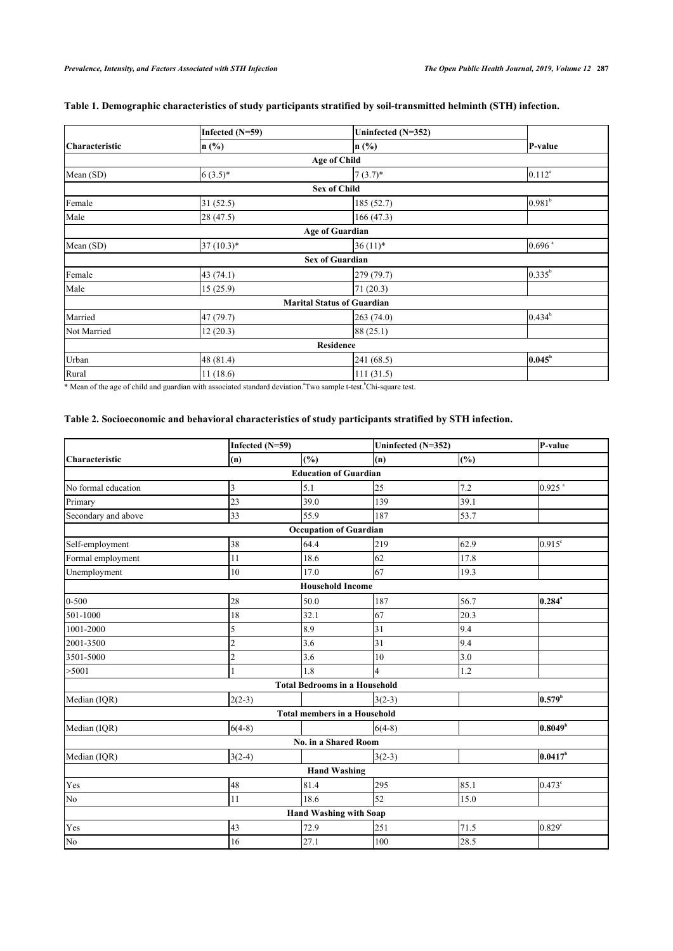|                       | Infected $(N=59)$ | Uninfected (N=352)                |                      |  |
|-----------------------|-------------------|-----------------------------------|----------------------|--|
| <b>Characteristic</b> | $\ln$ (%)         | $n$ (%)                           | P-value              |  |
|                       |                   | <b>Age of Child</b>               |                      |  |
| Mean (SD)             | $6(3.5)*$         | $7(3.7)$ *                        | $0.112^{a}$          |  |
|                       |                   | <b>Sex of Child</b>               |                      |  |
| Female                | 31(52.5)          | 185 (52.7)                        | 0.981 <sup>b</sup>   |  |
| Male                  | 28(47.5)          | 166 (47.3)                        |                      |  |
|                       |                   | <b>Age of Guardian</b>            |                      |  |
| Mean (SD)             | $37(10.3)*$       | $36(11)*$                         | $0.696$ <sup>a</sup> |  |
|                       |                   | <b>Sex of Guardian</b>            |                      |  |
| Female                | 43(74.1)          | 279 (79.7)                        | $0.335^{b}$          |  |
| Male                  | 15(25.9)          | 71(20.3)                          |                      |  |
|                       |                   | <b>Marital Status of Guardian</b> |                      |  |
| Married               | 47 (79.7)         | 263 (74.0)                        | $0.434^b$            |  |
| Not Married           | 12(20.3)          | 88 (25.1)                         |                      |  |
|                       |                   | <b>Residence</b>                  |                      |  |
| Urban                 | 48 (81.4)         | 241 (68.5)                        | $0.045^b$            |  |
| Rural                 | 11(18.6)          | 111(31.5)                         |                      |  |

## **Table 1. Demographic characteristics of study participants stratified by soil-transmitted helminth (STH) infection.**

\* Mean of the age of child and guardian with associated standard deviation.<sup>a</sup>Two sample t-test.<sup>b</sup>Chi-square test.

## <span id="page-3-0"></span>**Table 2. Socioeconomic and behavioral characteristics of study participants stratified by STH infection.**

|                       | Infected (N=59) |                                      | Uninfected (N=352) |      | P-value              |
|-----------------------|-----------------|--------------------------------------|--------------------|------|----------------------|
| <b>Characteristic</b> | (n)             | (%)                                  | (n)                | (%)  |                      |
|                       |                 | <b>Education of Guardian</b>         |                    |      |                      |
| No formal education   | 3               | 5.1                                  | 25                 | 7.2  | $0.925$ <sup>a</sup> |
| Primary               | 23              | 39.0                                 | 139                | 39.1 |                      |
| Secondary and above   | 33              | 55.9                                 | 187                | 53.7 |                      |
|                       |                 | <b>Occupation of Guardian</b>        |                    |      |                      |
| Self-employment       | 38              | 64.4                                 | 219                | 62.9 | $0.915$ <sup>c</sup> |
| Formal employment     | 11              | 18.6                                 | 62                 | 17.8 |                      |
| Unemployment          | 10              | 17.0                                 | 67                 | 19.3 |                      |
|                       |                 | <b>Household Income</b>              |                    |      |                      |
| $0 - 500$             | 28              | 50.0                                 | 187                | 56.7 | $0.284^*$            |
| 501-1000              | 18              | 32.1                                 | 67                 | 20.3 |                      |
| 1001-2000             | 5               | 8.9                                  | 31                 | 9.4  |                      |
| 2001-3500             | $\overline{2}$  | 3.6                                  | 31                 | 9.4  |                      |
| 3501-5000             | $\overline{2}$  | 3.6                                  | 10                 | 3.0  |                      |
| >5001                 |                 | 1.8                                  | 4                  | 1.2  |                      |
|                       |                 | <b>Total Bedrooms in a Household</b> |                    |      |                      |
| Median (IQR)          | $2(2-3)$        |                                      | $3(2-3)$           |      | 0.579 <sup>b</sup>   |
|                       |                 | <b>Total members in a Household</b>  |                    |      |                      |
| Median (IQR)          | $6(4-8)$        |                                      | $6(4-8)$           |      | $0.8049^{\circ}$     |
|                       |                 | No. in a Shared Room                 |                    |      |                      |
| Median (IQR)          | $3(2-4)$        |                                      | $3(2-3)$           |      | $0.0417^b$           |
|                       |                 | <b>Hand Washing</b>                  |                    |      |                      |
| Yes                   | 48              | 81.4                                 | 295                | 85.1 | $0.473$ <sup>c</sup> |
| N <sub>o</sub>        | 11              | 18.6                                 | 52                 | 15.0 |                      |
|                       |                 | <b>Hand Washing with Soap</b>        |                    |      |                      |
| Yes                   | 43              | 72.9                                 | 251                | 71.5 | $0.829$ <sup>c</sup> |
| No                    | 16              | 27.1                                 | 100                | 28.5 |                      |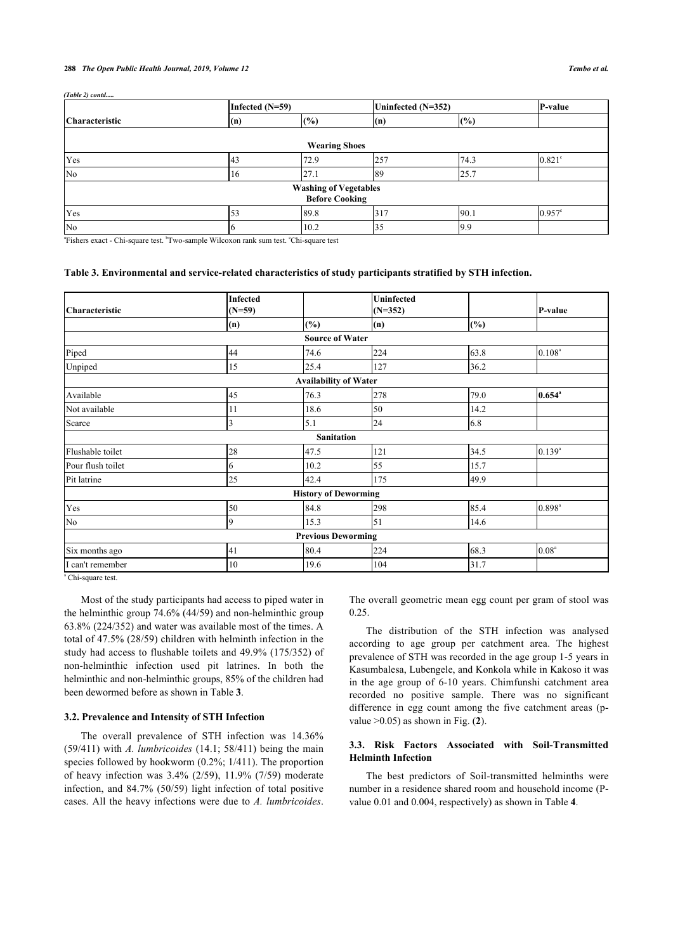#### **288** *The Open Public Health Journal, 2019, Volume 12 Tembo et al.*

*(Table 2) contd.....*

|                       | Infected $(N=59)$ |                              | Uninfected (N=352) |      | P-value              |
|-----------------------|-------------------|------------------------------|--------------------|------|----------------------|
| <b>Characteristic</b> | (n)               | $(\%)$                       | (n)                | (%)  |                      |
|                       |                   |                              |                    |      |                      |
|                       |                   | <b>Wearing Shoes</b>         |                    |      |                      |
| Yes                   | 43                | 72.9                         | 257                | 74.3 | $0.821$ °            |
| No                    | 16                | 27.1                         | 89                 | 25.7 |                      |
|                       |                   | <b>Washing of Vegetables</b> |                    |      |                      |
|                       |                   | <b>Before Cooking</b>        |                    |      |                      |
| Yes                   |                   | 89.8                         | 317                | 90.1 | $0.957$ <sup>c</sup> |
| No                    |                   | 10.2                         | 35                 | 9.9  |                      |

<sup>a</sup>Fishers exact - Chi-square test. <sup>b</sup>Two-sample Wilcoxon rank sum test. °Chi-square test

#### <span id="page-4-0"></span>**Table 3. Environmental and service-related characteristics of study participants stratified by STH infection.**

| <b>Characteristic</b> | <b>Infected</b><br>$(N=59)$ |                              | <b>Uninfected</b><br>$(N=352)$ |      | P-value              |
|-----------------------|-----------------------------|------------------------------|--------------------------------|------|----------------------|
|                       | (n)                         | $(\%)$                       | (n)                            | (%)  |                      |
|                       |                             | <b>Source of Water</b>       |                                |      |                      |
| Piped                 | 44                          | 74.6                         | 224                            | 63.8 | $0.108^{a}$          |
| Unpiped               | 15                          | 25.4                         | 127                            | 36.2 |                      |
|                       |                             | <b>Availability of Water</b> |                                |      |                      |
| Available             | 45                          | 76.3                         | 278                            | 79.0 | $0.654$ <sup>a</sup> |
| Not available         | 11                          | 18.6                         | 50                             | 14.2 |                      |
| Scarce                | 3                           | 5.1                          | 24                             | 6.8  |                      |
|                       |                             | <b>Sanitation</b>            |                                |      |                      |
| Flushable toilet      | 28                          | 47.5                         | 121                            | 34.5 | $0.139^{a}$          |
| Pour flush toilet     | 6                           | 10.2                         | 55                             | 15.7 |                      |
| Pit latrine           | 25                          | 42.4                         | 175                            | 49.9 |                      |
|                       |                             | <b>History of Deworming</b>  |                                |      |                      |
| Yes                   | 50                          | 84.8                         | 298                            | 85.4 | $0.898$ <sup>a</sup> |
| No                    | 19                          | 15.3                         | 51                             | 14.6 |                      |
|                       |                             | <b>Previous Deworming</b>    |                                |      |                      |
| Six months ago        | 41                          | 80.4                         | 224                            | 68.3 | 0.08 <sup>a</sup>    |
| I can't remember      | 10                          | 19.6                         | 104                            | 31.7 |                      |

a Chi-square test.

Most of the study participants had access to piped water in the helminthic group 74.6% (44/59) and non-helminthic group 63.8% (224/352) and water was available most of the times. A total of 47.5% (28/59) children with helminth infection in the study had access to flushable toilets and 49.9% (175/352) of non-helminthic infection used pit latrines. In both the helminthic and non-helminthic groups, 85% of the children had been dewormed before as shown in Table **[3](#page-4-0)**.

#### **3.2. Prevalence and Intensity of STH Infection**

The overall prevalence of STH infection was 14.36% (59/411) with *A. lumbricoides* (14.1; 58/411) being the main species followed by hookworm (0.2%; 1/411). The proportion of heavy infection was 3.4% (2/59), 11.9% (7/59) moderate infection, and 84.7% (50/59) light infection of total positive cases. All the heavy infections were due to *A. lumbricoides*.

The overall geometric mean egg count per gram of stool was 0.25.

The distribution of the STH infection was analysed according to age group per catchment area. The highest prevalence of STH was recorded in the age group 1-5 years in Kasumbalesa, Lubengele, and Konkola while in Kakoso it was in the age group of 6-10 years. Chimfunshi catchment area recorded no positive sample. There was no significant difference in egg count among the five catchment areas (pvalue >0.05) as shown in Fig. (**[2](#page-5-0)**).

#### **3.3. Risk Factors Associated with Soil-Transmitted Helminth Infection**

The best predictors of Soil-transmitted helminths were number in a residence shared room and household income (Pvalue 0.01 and 0.004, respectively) as shown in Table **[4](#page-6-0)**.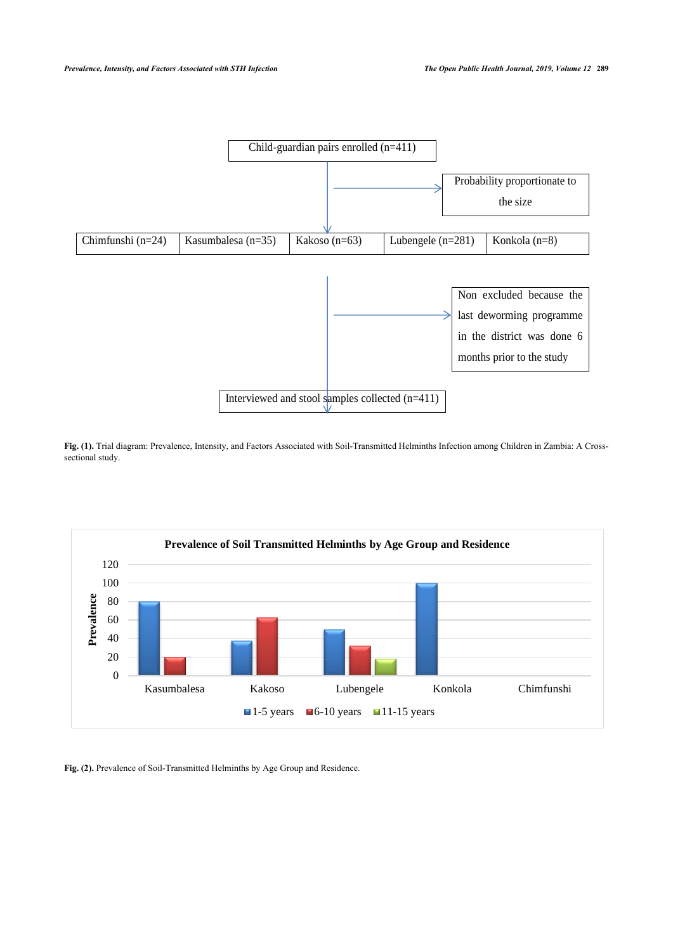

**Fig. (1).** Trial diagram: Prevalence, Intensity, and Factors Associated with Soil-Transmitted Helminths Infection among Children in Zambia: A Crosssectional study.

<span id="page-5-0"></span>

**Fig. (2).** Prevalence of Soil-Transmitted Helminths by Age Group and Residence.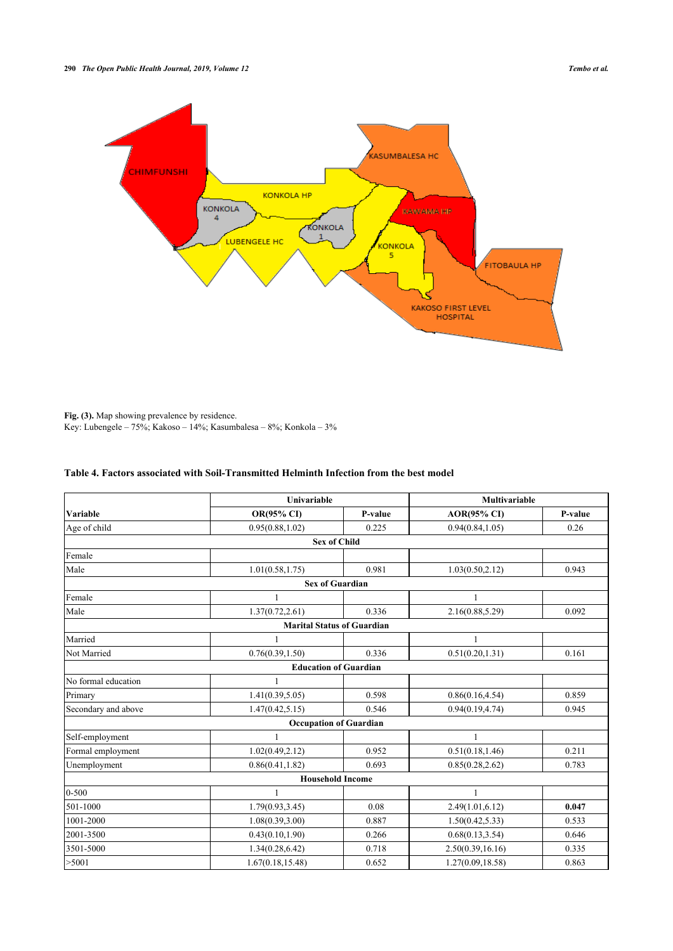

Fig. (3). Map showing prevalence by residence. Key: Lubengele – 75%; Kakoso – 14%; Kasumbalesa – 8%; Konkola – 3%

<span id="page-6-0"></span>

| Table 4. Factors associated with Soil-Transmitted Helminth Infection from the best model |  |
|------------------------------------------------------------------------------------------|--|
|                                                                                          |  |

|                     | <b>Univariable</b> |                                   | Multivariable      |         |  |  |  |  |
|---------------------|--------------------|-----------------------------------|--------------------|---------|--|--|--|--|
| Variable            | <b>OR(95% CI)</b>  | P-value                           | <b>AOR(95% CI)</b> | P-value |  |  |  |  |
| Age of child        | 0.95(0.88, 1.02)   | 0.225                             | 0.94(0.84, 1.05)   | 0.26    |  |  |  |  |
| <b>Sex of Child</b> |                    |                                   |                    |         |  |  |  |  |
| Female              |                    |                                   |                    |         |  |  |  |  |
| Male                | 1.01(0.58, 1.75)   | 0.981                             | 1.03(0.50, 2.12)   | 0.943   |  |  |  |  |
|                     |                    | <b>Sex of Guardian</b>            |                    |         |  |  |  |  |
| Female              | 1                  |                                   | $\mathbf{1}$       |         |  |  |  |  |
| Male                | 1.37(0.72, 2.61)   | 0.336                             | 2.16(0.88, 5.29)   | 0.092   |  |  |  |  |
|                     |                    | <b>Marital Status of Guardian</b> |                    |         |  |  |  |  |
| Married             |                    |                                   | $\mathbf{1}$       |         |  |  |  |  |
| Not Married         | 0.76(0.39, 1.50)   | 0.336                             | 0.51(0.20, 1.31)   | 0.161   |  |  |  |  |
|                     |                    | <b>Education of Guardian</b>      |                    |         |  |  |  |  |
| No formal education | 1                  |                                   |                    |         |  |  |  |  |
| Primary             | 1.41(0.39, 5.05)   | 0.598                             | 0.86(0.16, 4.54)   | 0.859   |  |  |  |  |
| Secondary and above | 1.47(0.42, 5.15)   | 0.546                             | 0.94(0.19, 4.74)   | 0.945   |  |  |  |  |
|                     |                    | <b>Occupation of Guardian</b>     |                    |         |  |  |  |  |
| Self-employment     | $\mathbf{1}$       |                                   | $\mathbf{1}$       |         |  |  |  |  |
| Formal employment   | 1.02(0.49, 2.12)   | 0.952                             | 0.51(0.18, 1.46)   | 0.211   |  |  |  |  |
| Unemployment        | 0.86(0.41, 1.82)   | 0.693                             | 0.85(0.28, 2.62)   | 0.783   |  |  |  |  |
|                     |                    | <b>Household Income</b>           |                    |         |  |  |  |  |
| $0 - 500$           | 1                  |                                   | 1                  |         |  |  |  |  |
| 501-1000            | 1.79(0.93, 3.45)   | 0.08                              | 2.49(1.01, 6.12)   | 0.047   |  |  |  |  |
| 1001-2000           | 1.08(0.39, 3.00)   | 0.887                             | 1.50(0.42, 5.33)   | 0.533   |  |  |  |  |
| 2001-3500           | 0.43(0.10, 1.90)   | 0.266                             | 0.68(0.13, 3.54)   | 0.646   |  |  |  |  |
| 3501-5000           | 1.34(0.28, 6.42)   | 0.718                             | 2.50(0.39, 16.16)  | 0.335   |  |  |  |  |
| >5001               | 1.67(0.18, 15.48)  | 0.652                             | 1.27(0.09, 18.58)  | 0.863   |  |  |  |  |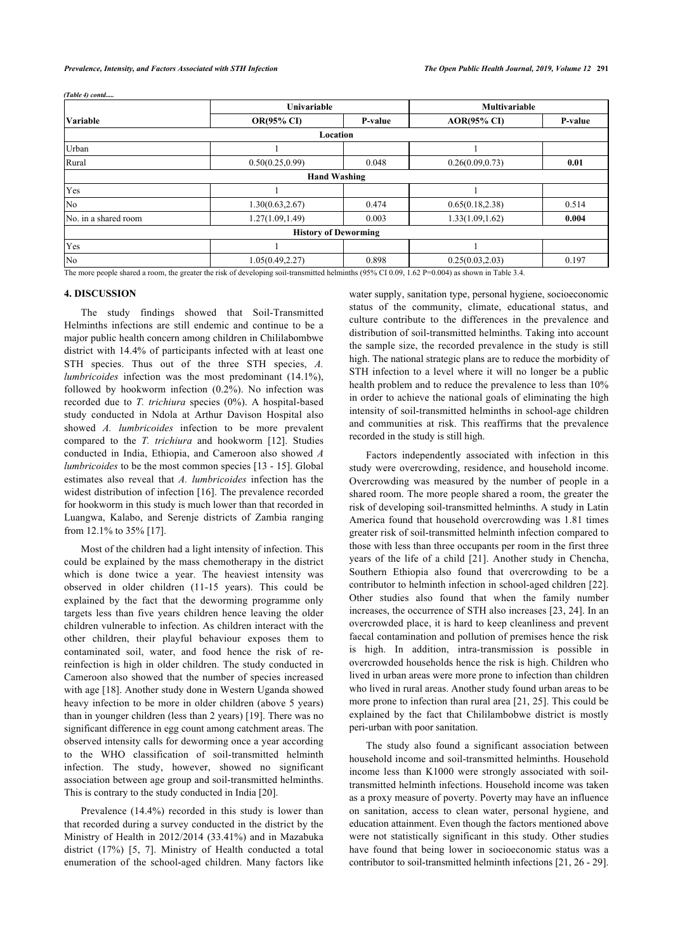|                      | Univariable                                                                                                                                     |                             | <b>Multivariable</b> |         |
|----------------------|-------------------------------------------------------------------------------------------------------------------------------------------------|-----------------------------|----------------------|---------|
| <b>Variable</b>      | <b>OR(95% CI)</b>                                                                                                                               | P-value                     | <b>AOR(95% CI)</b>   | P-value |
|                      |                                                                                                                                                 | Location                    |                      |         |
| Urban                |                                                                                                                                                 |                             |                      |         |
| Rural                | 0.50(0.25, 0.99)                                                                                                                                | 0.048                       | 0.26(0.09, 0.73)     | 0.01    |
|                      |                                                                                                                                                 | <b>Hand Washing</b>         |                      |         |
| Yes                  |                                                                                                                                                 |                             |                      |         |
| N <sub>0</sub>       | 1.30(0.63, 2.67)                                                                                                                                | 0.474                       | 0.65(0.18, 2.38)     | 0.514   |
| No. in a shared room | 1.27(1.09, 1.49)                                                                                                                                | 0.003                       | 1.33(1.09, 1.62)     | 0.004   |
|                      |                                                                                                                                                 | <b>History of Deworming</b> |                      |         |
| Yes                  |                                                                                                                                                 |                             |                      |         |
| N <sub>0</sub>       | 1.05(0.49, 2.27)                                                                                                                                | 0.898                       | 0.25(0.03, 2.03)     | 0.197   |
|                      | The more people shared a room, the greater the risk of developing soil-transmitted helminths (95% CI 0.09, 1.62 P=0.004) as shown in Table 3.4. |                             |                      |         |

**4. DISCUSSION**

*(Table 4) contd.....*

The study findings showed that Soil-Transmitted Helminths infections are still endemic and continue to be a major public health concern among children in Chililabombwe district with 14.4% of participants infected with at least one STH species. Thus out of the three STH species, *A. lumbricoides* infection was the most predominant (14.1%), followed by hookworm infection (0.2%). No infection was recorded due to *T. trichiura* species (0%). A hospital-based study conducted in Ndola at Arthur Davison Hospital also showed *A. lumbricoides* infection to be more prevalent compared to the *T. trichiura* and hookworm[[12](#page-8-11)]. Studies conducted in India, Ethiopia, and Cameroon also showed *A lumbricoides* to be the most common species [[13](#page-8-12) - [15\]](#page-9-0). Global estimates also reveal that *A. lumbricoides* infection has the widest distribution of infection [\[16\]](#page-9-1). The prevalence recorded for hookworm in this study is much lower than that recorded in Luangwa, Kalabo, and Serenje districts of Zambia ranging from 12.1% to 35% [[17\]](#page-9-2).

Most of the children had a light intensity of infection. This could be explained by the mass chemotherapy in the district which is done twice a year. The heaviest intensity was observed in older children (11-15 years). This could be explained by the fact that the deworming programme only targets less than five years children hence leaving the older children vulnerable to infection. As children interact with the other children, their playful behaviour exposes them to contaminated soil, water, and food hence the risk of rereinfection is high in older children. The study conducted in Cameroon also showed that the number of species increased with age [[18\]](#page-9-3). Another study done in Western Uganda showed heavy infection to be more in older children (above 5 years) than in younger children (less than 2 years) [\[19](#page-9-4)]. There was no significant difference in egg count among catchment areas. The observed intensity calls for deworming once a year according to the WHO classification of soil-transmitted helminth infection. The study, however, showed no significant association between age group and soil-transmitted helminths. This is contrary to the study conducted in India [[20\]](#page-9-5).

Prevalence (14.4%) recorded in this study is lower than that recorded during a survey conducted in the district by the Ministry of Health in 2012/2014 (33.41%) and in Mazabuka district (17%)[[5,](#page-8-4) [7\]](#page-8-6). Ministry of Health conducted a total enumeration of the school-aged children. Many factors like water supply, sanitation type, personal hygiene, socioeconomic status of the community, climate, educational status, and culture contribute to the differences in the prevalence and distribution of soil-transmitted helminths. Taking into account the sample size, the recorded prevalence in the study is still high. The national strategic plans are to reduce the morbidity of STH infection to a level where it will no longer be a public health problem and to reduce the prevalence to less than 10% in order to achieve the national goals of eliminating the high intensity of soil-transmitted helminths in school-age children and communities at risk. This reaffirms that the prevalence recorded in the study is still high.

Factors independently associated with infection in this study were overcrowding, residence, and household income. Overcrowding was measured by the number of people in a shared room. The more people shared a room, the greater the risk of developing soil-transmitted helminths. A study in Latin America found that household overcrowding was 1.81 times greater risk of soil-transmitted helminth infection compared to those with less than three occupants per room in the first three years of the life of a child[[21](#page-9-6)]. Another study in Chencha, Southern Ethiopia also found that overcrowding to be a contributor to helminth infection in school-aged children [\[22](#page-9-7)]. Other studies also found that when the family number increases, the occurrence of STH also increases [\[23](#page-9-8), [24](#page-9-9)]. In an overcrowded place, it is hard to keep cleanliness and prevent faecal contamination and pollution of premises hence the risk is high. In addition, intra-transmission is possible in overcrowded households hence the risk is high. Children who lived in urban areas were more prone to infection than children who lived in rural areas. Another study found urban areas to be more prone to infection than rural area [\[21,](#page-9-6) [25](#page-9-2)]. This could be explained by the fact that Chililambobwe district is mostly peri-urban with poor sanitation.

The study also found a significant association between household income and soil-transmitted helminths. Household income less than K1000 were strongly associated with soiltransmitted helminth infections. Household income was taken as a proxy measure of poverty. Poverty may have an influence on sanitation, access to clean water, personal hygiene, and education attainment. Even though the factors mentioned above were not statistically significant in this study. Other studies have found that being lower in socioeconomic status was a contributor to soil-transmitted helminth infections [\[21](#page-9-6), [26](#page-9-10) - [29](#page-9-11)].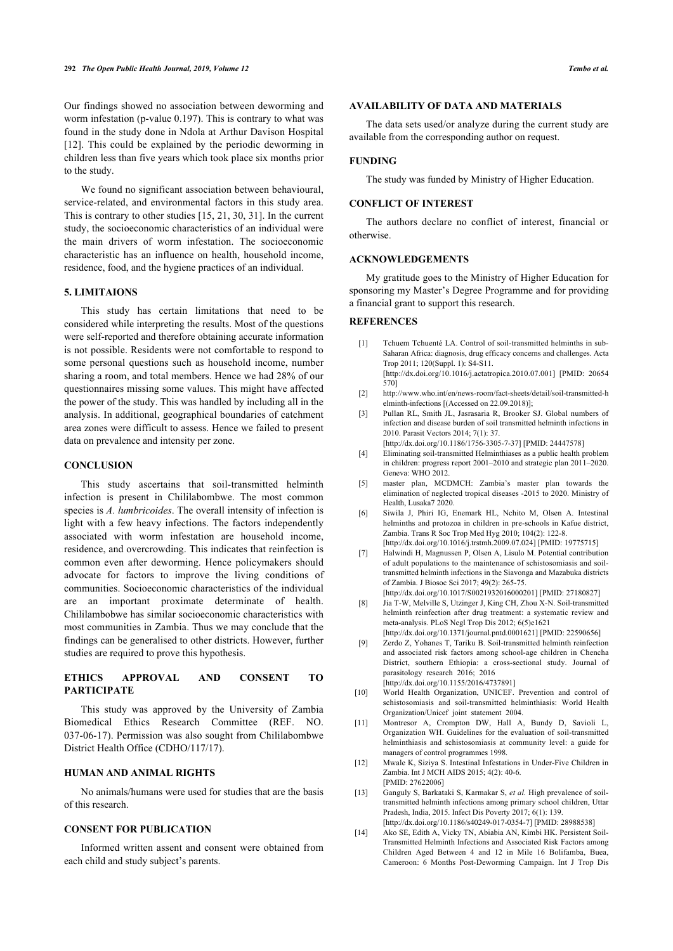Our findings showed no association between deworming and worm infestation (p-value 0.197). This is contrary to what was found in the study done in Ndola at Arthur Davison Hospital [[12\]](#page-8-11). This could be explained by the periodic deworming in children less than five years which took place six months prior to the study.

We found no significant association between behavioural, service-related, and environmental factors in this study area. This is contrary to other studies [\[15,](#page-9-0) [21](#page-9-6), [30](#page-9-12), [31](#page-9-7)]. In the current study, the socioeconomic characteristics of an individual were the main drivers of worm infestation. The socioeconomic characteristic has an influence on health, household income, residence, food, and the hygiene practices of an individual.

#### **5. LIMITAIONS**

<span id="page-8-0"></span>This study has certain limitations that need to be considered while interpreting the results. Most of the questions were self-reported and therefore obtaining accurate information is not possible. Residents were not comfortable to respond to some personal questions such as household income, number sharing a room, and total members. Hence we had 28% of our questionnaires missing some values. This might have affected the power of the study. This was handled by including all in the analysis. In additional, geographical boundaries of catchment area zones were difficult to assess. Hence we failed to present data on prevalence and intensity per zone.

#### <span id="page-8-3"></span><span id="page-8-2"></span><span id="page-8-1"></span>**CONCLUSION**

<span id="page-8-6"></span><span id="page-8-5"></span><span id="page-8-4"></span>This study ascertains that soil-transmitted helminth infection is present in Chililabombwe. The most common species is *A. lumbricoides*. The overall intensity of infection is light with a few heavy infections. The factors independently associated with worm infestation are household income, residence, and overcrowding. This indicates that reinfection is common even after deworming. Hence policymakers should advocate for factors to improve the living conditions of communities. Socioeconomic characteristics of the individual are an important proximate determinate of health. Chililambobwe has similar socioeconomic characteristics with most communities in Zambia. Thus we may conclude that the findings can be generalised to other districts. However, further studies are required to prove this hypothesis.

### <span id="page-8-9"></span><span id="page-8-8"></span><span id="page-8-7"></span>**ETHICS APPROVAL AND CONSENT TO PARTICIPATE**

<span id="page-8-10"></span>This study was approved by the University of Zambia Biomedical Ethics Research Committee (REF. NO. 037-06-17). Permission was also sought from Chililabombwe District Health Office (CDHO/117/17).

### <span id="page-8-11"></span>**HUMAN AND ANIMAL RIGHTS**

<span id="page-8-12"></span>No animals/humans were used for studies that are the basis of this research.

### **CONSENT FOR PUBLICATION**

Informed written assent and consent were obtained from each child and study subject's parents.

#### **AVAILABILITY OF DATA AND MATERIALS**

The data sets used/or analyze during the current study are available from the corresponding author on request.

#### **FUNDING**

The study was funded by Ministry of Higher Education.

### **CONFLICT OF INTEREST**

The authors declare no conflict of interest, financial or otherwise.

#### **ACKNOWLEDGEMENTS**

My gratitude goes to the Ministry of Higher Education for sponsoring my Master's Degree Programme and for providing a financial grant to support this research.

### **REFERENCES**

- [1] Tchuem Tchuenté LA. Control of soil-transmitted helminths in sub-Saharan Africa: diagnosis, drug efficacy concerns and challenges. Acta Trop 2011; 120(Suppl. 1): S4-S11. [\[http://dx.doi.org/10.1016/j.actatropica.2010.07.001](http://dx.doi.org/10.1016/j.actatropica.2010.07.001)] [PMID: [20654](http://www.ncbi.nlm.nih.gov/pubmed/20654%20570)
- [570](http://www.ncbi.nlm.nih.gov/pubmed/20654%20570)] [2] [http://www.who.int/en/news-room/fact-sheets/detail/soil-transmitted-h](http://www.who.int/en/news-room/fact-sheets/detail/soil-transmitted-helminth-infections)
- [elminth-infections](http://www.who.int/en/news-room/fact-sheets/detail/soil-transmitted-helminth-infections) [(Accessed on 22.09.2018)];
- [3] Pullan RL, Smith JL, Jasrasaria R, Brooker SJ. Global numbers of infection and disease burden of soil transmitted helminth infections in 2010. Parasit Vectors 2014; 7(1): 37.
	- [\[http://dx.doi.org/10.1186/1756-3305-7-37\]](http://dx.doi.org/10.1186/1756-3305-7-37) [PMID: [24447578\]](http://www.ncbi.nlm.nih.gov/pubmed/24447578)
- [4] Eliminating soil-transmitted Helminthiases as a public health problem in children: progress report 2001–2010 and strategic plan 2011–2020. Geneva: WHO 2012.
- [5] master plan, MCDMCH: Zambia's master plan towards the elimination of neglected tropical diseases -2015 to 2020. Ministry of Health, Lusaka7 2020.
- [6] Siwila J, Phiri IG, Enemark HL, Nchito M, Olsen A. Intestinal helminths and protozoa in children in pre-schools in Kafue district, Zambia. Trans R Soc Trop Med Hyg 2010; 104(2): 122-8. [\[http://dx.doi.org/10.1016/j.trstmh.2009.07.024\]](http://dx.doi.org/10.1016/j.trstmh.2009.07.024) [PMID: [19775715](http://www.ncbi.nlm.nih.gov/pubmed/19775715)]
- [7] Halwindi H, Magnussen P, Olsen A, Lisulo M. Potential contribution of adult populations to the maintenance of schistosomiasis and soiltransmitted helminth infections in the Siavonga and Mazabuka districts of Zambia. J Biosoc Sci 2017; 49(2): 265-75. [\[http://dx.doi.org/10.1017/S0021932016000201](http://dx.doi.org/10.1017/S0021932016000201)] [PMID: [27180827\]](http://www.ncbi.nlm.nih.gov/pubmed/27180827)
- [8] Jia T-W, Melville S, Utzinger J, King CH, Zhou X-N. Soil-transmitted helminth reinfection after drug treatment: a systematic review and meta-analysis. PLoS Negl Trop Dis 2012; 6(5)e1621 [\[http://dx.doi.org/10.1371/journal.pntd.0001621\]](http://dx.doi.org/10.1371/journal.pntd.0001621) [PMID: [22590656](http://www.ncbi.nlm.nih.gov/pubmed/22590656)]
- [9] Zerdo Z, Yohanes T, Tariku B. Soil-transmitted helminth reinfection and associated risk factors among school-age children in Chencha District, southern Ethiopia: a cross-sectional study. Journal of parasitology research 2016; 2016 [\[http://dx.doi.org/10.1155/2016/4737891\]](http://dx.doi.org/10.1155/2016/4737891)
- [10] World Health Organization, UNICEF. Prevention and control of schistosomiasis and soil-transmitted helminthiasis: World Health Organization/Unicef joint statement 2004.
- [11] Montresor A, Crompton DW, Hall A, Bundy D, Savioli L, Organization WH. Guidelines for the evaluation of soil-transmitted helminthiasis and schistosomiasis at community level: a guide for managers of control programmes 1998.
- [12] Mwale K, Siziya S. Intestinal Infestations in Under-Five Children in Zambia. Int J MCH AIDS 2015; 4(2): 40-6. [PMID: [27622006\]](http://www.ncbi.nlm.nih.gov/pubmed/27622006)
- [13] Ganguly S, Barkataki S, Karmakar S, *et al.* High prevalence of soiltransmitted helminth infections among primary school children, Uttar Pradesh, India, 2015. Infect Dis Poverty 2017; 6(1): 139. [\[http://dx.doi.org/10.1186/s40249-017-0354-7\]](http://dx.doi.org/10.1186/s40249-017-0354-7) [PMID: [28988538](http://www.ncbi.nlm.nih.gov/pubmed/28988538)]
- [14] Ako SE, Edith A, Vicky TN, Abiabia AN, Kimbi HK. Persistent Soil-Transmitted Helminth Infections and Associated Risk Factors among Children Aged Between 4 and 12 in Mile 16 Bolifamba, Buea, Cameroon: 6 Months Post-Deworming Campaign. Int J Trop Dis